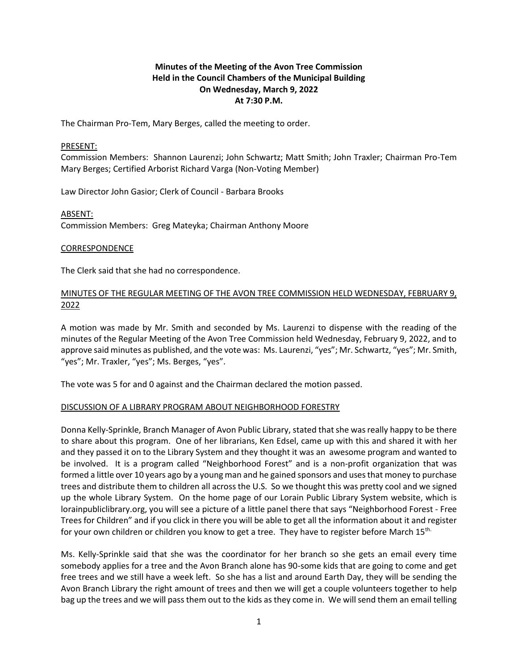# **Minutes of the Meeting of the Avon Tree Commission Held in the Council Chambers of the Municipal Building On Wednesday, March 9, 2022 At 7:30 P.M.**

The Chairman Pro-Tem, Mary Berges, called the meeting to order.

#### PRESENT:

Commission Members: Shannon Laurenzi; John Schwartz; Matt Smith; John Traxler; Chairman Pro-Tem Mary Berges; Certified Arborist Richard Varga (Non-Voting Member)

Law Director John Gasior; Clerk of Council - Barbara Brooks

ABSENT: Commission Members: Greg Mateyka; Chairman Anthony Moore

### CORRESPONDENCE

The Clerk said that she had no correspondence.

# MINUTES OF THE REGULAR MEETING OF THE AVON TREE COMMISSION HELD WEDNESDAY, FEBRUARY 9, 2022

A motion was made by Mr. Smith and seconded by Ms. Laurenzi to dispense with the reading of the minutes of the Regular Meeting of the Avon Tree Commission held Wednesday, February 9, 2022, and to approve said minutes as published, and the vote was: Ms. Laurenzi, "yes"; Mr. Schwartz, "yes"; Mr. Smith, "yes"; Mr. Traxler, "yes"; Ms. Berges, "yes".

The vote was 5 for and 0 against and the Chairman declared the motion passed.

#### DISCUSSION OF A LIBRARY PROGRAM ABOUT NEIGHBORHOOD FORESTRY

Donna Kelly-Sprinkle, Branch Manager of Avon Public Library, stated that she was really happy to be there to share about this program. One of her librarians, Ken Edsel, came up with this and shared it with her and they passed it on to the Library System and they thought it was an awesome program and wanted to be involved. It is a program called "Neighborhood Forest" and is a non-profit organization that was formed a little over 10 years ago by a young man and he gained sponsors and uses that money to purchase trees and distribute them to children all across the U.S. So we thought this was pretty cool and we signed up the whole Library System. On the home page of our Lorain Public Library System website, which is lorainpubliclibrary.org, you will see a picture of a little panel there that says "Neighborhood Forest - Free Trees for Children" and if you click in there you will be able to get all the information about it and register for your own children or children you know to get a tree. They have to register before March 15<sup>th.</sup>

Ms. Kelly-Sprinkle said that she was the coordinator for her branch so she gets an email every time somebody applies for a tree and the Avon Branch alone has 90-some kids that are going to come and get free trees and we still have a week left. So she has a list and around Earth Day, they will be sending the Avon Branch Library the right amount of trees and then we will get a couple volunteers together to help bag up the trees and we will pass them out to the kids as they come in. We will send them an email telling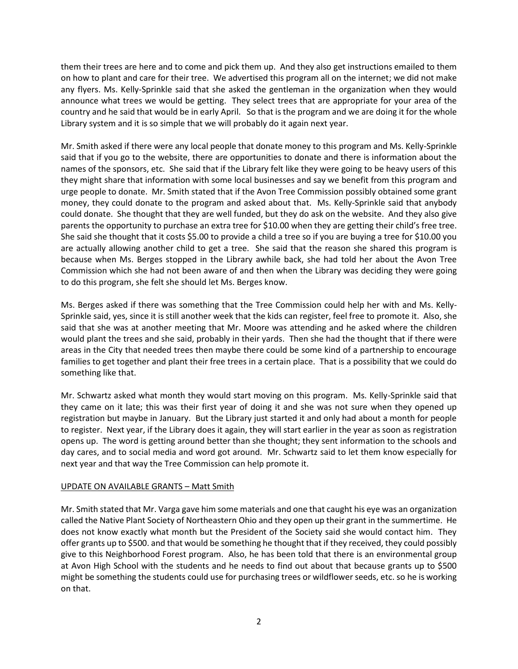them their trees are here and to come and pick them up. And they also get instructions emailed to them on how to plant and care for their tree. We advertised this program all on the internet; we did not make any flyers. Ms. Kelly-Sprinkle said that she asked the gentleman in the organization when they would announce what trees we would be getting. They select trees that are appropriate for your area of the country and he said that would be in early April. So that is the program and we are doing it for the whole Library system and it is so simple that we will probably do it again next year.

Mr. Smith asked if there were any local people that donate money to this program and Ms. Kelly-Sprinkle said that if you go to the website, there are opportunities to donate and there is information about the names of the sponsors, etc. She said that if the Library felt like they were going to be heavy users of this they might share that information with some local businesses and say we benefit from this program and urge people to donate. Mr. Smith stated that if the Avon Tree Commission possibly obtained some grant money, they could donate to the program and asked about that. Ms. Kelly-Sprinkle said that anybody could donate. She thought that they are well funded, but they do ask on the website. And they also give parents the opportunity to purchase an extra tree for \$10.00 when they are getting their child's free tree. She said she thought that it costs \$5.00 to provide a child a tree so if you are buying a tree for \$10.00 you are actually allowing another child to get a tree. She said that the reason she shared this program is because when Ms. Berges stopped in the Library awhile back, she had told her about the Avon Tree Commission which she had not been aware of and then when the Library was deciding they were going to do this program, she felt she should let Ms. Berges know.

Ms. Berges asked if there was something that the Tree Commission could help her with and Ms. Kelly-Sprinkle said, yes, since it is still another week that the kids can register, feel free to promote it. Also, she said that she was at another meeting that Mr. Moore was attending and he asked where the children would plant the trees and she said, probably in their yards. Then she had the thought that if there were areas in the City that needed trees then maybe there could be some kind of a partnership to encourage families to get together and plant their free trees in a certain place. That is a possibility that we could do something like that.

Mr. Schwartz asked what month they would start moving on this program. Ms. Kelly-Sprinkle said that they came on it late; this was their first year of doing it and she was not sure when they opened up registration but maybe in January. But the Library just started it and only had about a month for people to register. Next year, if the Library does it again, they will start earlier in the year as soon as registration opens up. The word is getting around better than she thought; they sent information to the schools and day cares, and to social media and word got around. Mr. Schwartz said to let them know especially for next year and that way the Tree Commission can help promote it.

## UPDATE ON AVAILABLE GRANTS – Matt Smith

Mr. Smith stated that Mr. Varga gave him some materials and one that caught his eye was an organization called the Native Plant Society of Northeastern Ohio and they open up their grant in the summertime. He does not know exactly what month but the President of the Society said she would contact him. They offer grants up to \$500. and that would be something he thought that if they received, they could possibly give to this Neighborhood Forest program. Also, he has been told that there is an environmental group at Avon High School with the students and he needs to find out about that because grants up to \$500 might be something the students could use for purchasing trees or wildflower seeds, etc. so he is working on that.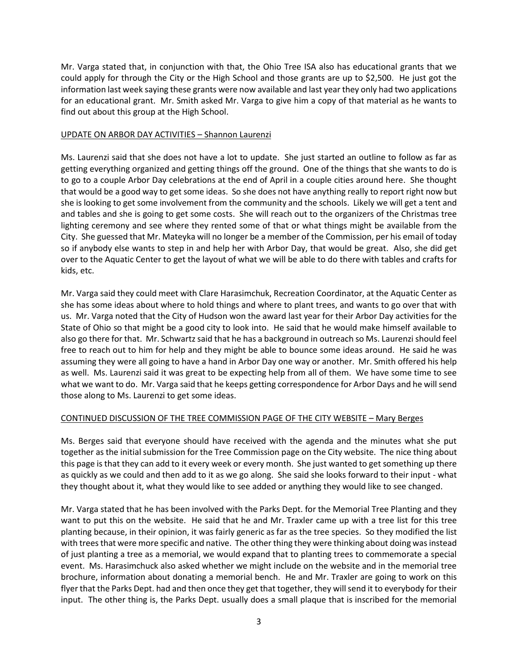Mr. Varga stated that, in conjunction with that, the Ohio Tree ISA also has educational grants that we could apply for through the City or the High School and those grants are up to \$2,500. He just got the information last week saying these grants were now available and last year they only had two applications for an educational grant. Mr. Smith asked Mr. Varga to give him a copy of that material as he wants to find out about this group at the High School.

## UPDATE ON ARBOR DAY ACTIVITIES – Shannon Laurenzi

Ms. Laurenzi said that she does not have a lot to update. She just started an outline to follow as far as getting everything organized and getting things off the ground. One of the things that she wants to do is to go to a couple Arbor Day celebrations at the end of April in a couple cities around here. She thought that would be a good way to get some ideas. So she does not have anything really to report right now but she is looking to get some involvement from the community and the schools. Likely we will get a tent and and tables and she is going to get some costs. She will reach out to the organizers of the Christmas tree lighting ceremony and see where they rented some of that or what things might be available from the City. She guessed that Mr. Mateyka will no longer be a member of the Commission, per his email of today so if anybody else wants to step in and help her with Arbor Day, that would be great. Also, she did get over to the Aquatic Center to get the layout of what we will be able to do there with tables and crafts for kids, etc.

Mr. Varga said they could meet with Clare Harasimchuk, Recreation Coordinator, at the Aquatic Center as she has some ideas about where to hold things and where to plant trees, and wants to go over that with us. Mr. Varga noted that the City of Hudson won the award last year for their Arbor Day activities for the State of Ohio so that might be a good city to look into. He said that he would make himself available to also go there for that. Mr. Schwartz said that he has a background in outreach so Ms. Laurenzi should feel free to reach out to him for help and they might be able to bounce some ideas around. He said he was assuming they were all going to have a hand in Arbor Day one way or another. Mr. Smith offered his help as well. Ms. Laurenzi said it was great to be expecting help from all of them. We have some time to see what we want to do. Mr. Varga said that he keeps getting correspondence for Arbor Days and he will send those along to Ms. Laurenzi to get some ideas.

## CONTINUED DISCUSSION OF THE TREE COMMISSION PAGE OF THE CITY WEBSITE – Mary Berges

Ms. Berges said that everyone should have received with the agenda and the minutes what she put together as the initial submission for the Tree Commission page on the City website. The nice thing about this page is that they can add to it every week or every month. She just wanted to get something up there as quickly as we could and then add to it as we go along. She said she looks forward to their input - what they thought about it, what they would like to see added or anything they would like to see changed.

Mr. Varga stated that he has been involved with the Parks Dept. for the Memorial Tree Planting and they want to put this on the website. He said that he and Mr. Traxler came up with a tree list for this tree planting because, in their opinion, it was fairly generic as far as the tree species. So they modified the list with trees that were more specific and native. The other thing they were thinking about doing was instead of just planting a tree as a memorial, we would expand that to planting trees to commemorate a special event. Ms. Harasimchuck also asked whether we might include on the website and in the memorial tree brochure, information about donating a memorial bench. He and Mr. Traxler are going to work on this flyer that the Parks Dept. had and then once they get that together, they will send it to everybody for their input. The other thing is, the Parks Dept. usually does a small plaque that is inscribed for the memorial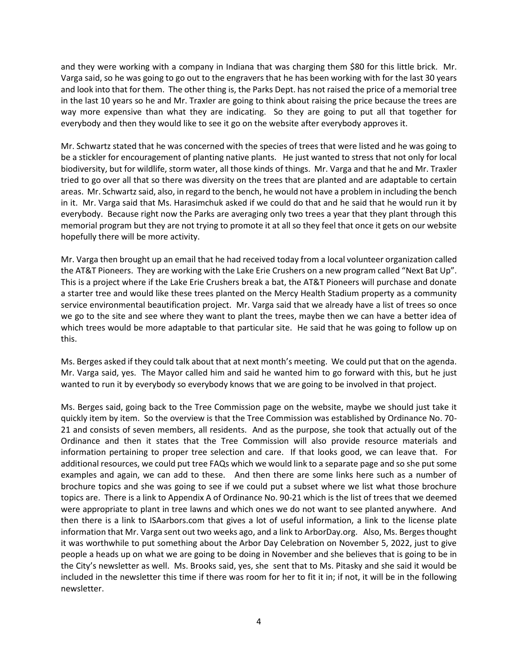and they were working with a company in Indiana that was charging them \$80 for this little brick. Mr. Varga said, so he was going to go out to the engravers that he has been working with for the last 30 years and look into that for them. The other thing is, the Parks Dept. has not raised the price of a memorial tree in the last 10 years so he and Mr. Traxler are going to think about raising the price because the trees are way more expensive than what they are indicating. So they are going to put all that together for everybody and then they would like to see it go on the website after everybody approves it.

Mr. Schwartz stated that he was concerned with the species of trees that were listed and he was going to be a stickler for encouragement of planting native plants. He just wanted to stress that not only for local biodiversity, but for wildlife, storm water, all those kinds of things. Mr. Varga and that he and Mr. Traxler tried to go over all that so there was diversity on the trees that are planted and are adaptable to certain areas. Mr. Schwartz said, also, in regard to the bench, he would not have a problem in including the bench in it. Mr. Varga said that Ms. Harasimchuk asked if we could do that and he said that he would run it by everybody. Because right now the Parks are averaging only two trees a year that they plant through this memorial program but they are not trying to promote it at all so they feel that once it gets on our website hopefully there will be more activity.

Mr. Varga then brought up an email that he had received today from a local volunteer organization called the AT&T Pioneers. They are working with the Lake Erie Crushers on a new program called "Next Bat Up". This is a project where if the Lake Erie Crushers break a bat, the AT&T Pioneers will purchase and donate a starter tree and would like these trees planted on the Mercy Health Stadium property as a community service environmental beautification project. Mr. Varga said that we already have a list of trees so once we go to the site and see where they want to plant the trees, maybe then we can have a better idea of which trees would be more adaptable to that particular site. He said that he was going to follow up on this.

Ms. Berges asked if they could talk about that at next month's meeting. We could put that on the agenda. Mr. Varga said, yes. The Mayor called him and said he wanted him to go forward with this, but he just wanted to run it by everybody so everybody knows that we are going to be involved in that project.

Ms. Berges said, going back to the Tree Commission page on the website, maybe we should just take it quickly item by item. So the overview is that the Tree Commission was established by Ordinance No. 70- 21 and consists of seven members, all residents. And as the purpose, she took that actually out of the Ordinance and then it states that the Tree Commission will also provide resource materials and information pertaining to proper tree selection and care. If that looks good, we can leave that. For additional resources, we could put tree FAQs which we would link to a separate page and so she put some examples and again, we can add to these. And then there are some links here such as a number of brochure topics and she was going to see if we could put a subset where we list what those brochure topics are. There is a link to Appendix A of Ordinance No. 90-21 which is the list of trees that we deemed were appropriate to plant in tree lawns and which ones we do not want to see planted anywhere. And then there is a link to ISAarbors.com that gives a lot of useful information, a link to the license plate information that Mr. Varga sent out two weeks ago, and a link to ArborDay.org. Also, Ms. Berges thought it was worthwhile to put something about the Arbor Day Celebration on November 5, 2022, just to give people a heads up on what we are going to be doing in November and she believes that is going to be in the City's newsletter as well. Ms. Brooks said, yes, she sent that to Ms. Pitasky and she said it would be included in the newsletter this time if there was room for her to fit it in; if not, it will be in the following newsletter.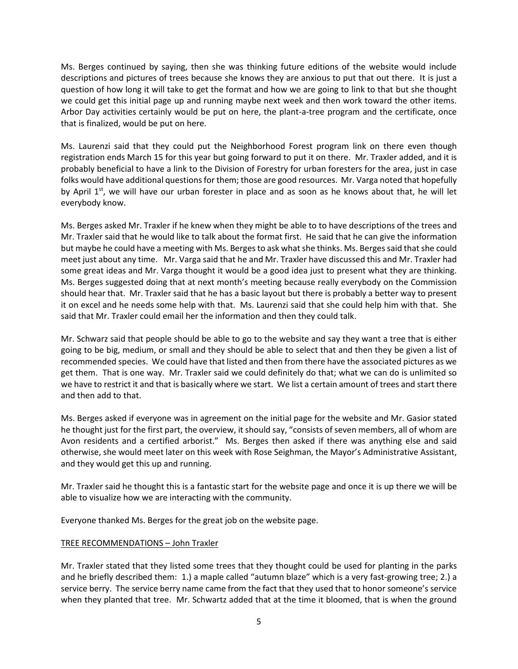Ms. Berges continued by saying, then she was thinking future editions of the website would include descriptions and pictures of trees because she knows they are anxious to put that out there. It is just a question of how long it will take to get the format and how we are going to link to that but she thought we could get this initial page up and running maybe next week and then work toward the other items. Arbor Day activities certainly would be put on here, the plant-a-tree program and the certificate, once that is finalized, would be put on here.

Ms. Laurenzi said that they could put the Neighborhood Forest program link on there even though registration ends March 15 for this year but going forward to put it on there. Mr. Traxler added, and it is probably beneficial to have a link to the Division of Forestry for urban foresters for the area, just in case folks would have additional questions for them; those are good resources. Mr. Varga noted that hopefully by April  $1^{st}$ , we will have our urban forester in place and as soon as he knows about that, he will let everybody know.

Ms. Berges asked Mr. Traxler if he knew when they might be able to to have descriptions of the trees and Mr. Traxler said that he would like to talk about the format first. He said that he can give the information but maybe he could have a meeting with Ms. Berges to ask what she thinks. Ms. Berges said that she could meet just about any time. Mr. Varga said that he and Mr. Traxler have discussed this and Mr. Traxler had some great ideas and Mr. Varga thought it would be a good idea just to present what they are thinking. Ms. Berges suggested doing that at next month's meeting because really everybody on the Commission should hear that. Mr. Traxler said that he has a basic layout but there is probably a better way to present it on excel and he needs some help with that. Ms. Laurenzi said that she could help him with that. She said that Mr. Traxler could email her the information and then they could talk.

Mr. Schwarz said that people should be able to go to the website and say they want a tree that is either going to be big, medium, or small and they should be able to select that and then they be given a list of recommended species. We could have that listed and then from there have the associated pictures as we get them. That is one way. Mr. Traxler said we could definitely do that; what we can do is unlimited so we have to restrict it and that is basically where we start. We list a certain amount of trees and start there and then add to that.

Ms. Berges asked if everyone was in agreement on the initial page for the website and Mr. Gasior stated he thought just for the first part, the overview, it should say, "consists of seven members, all of whom are Avon residents and a certified arborist." Ms. Berges then asked if there was anything else and said otherwise, she would meet later on this week with Rose Seighman, the Mayor's Administrative Assistant, and they would get this up and running.

Mr. Traxler said he thought this is a fantastic start for the website page and once it is up there we will be able to visualize how we are interacting with the community.

Everyone thanked Ms. Berges for the great job on the website page.

# TREE RECOMMENDATIONS – John Traxler

Mr. Traxler stated that they listed some trees that they thought could be used for planting in the parks and he briefly described them: 1.) a maple called "autumn blaze" which is a very fast-growing tree; 2.) a service berry. The service berry name came from the fact that they used that to honor someone's service when they planted that tree. Mr. Schwartz added that at the time it bloomed, that is when the ground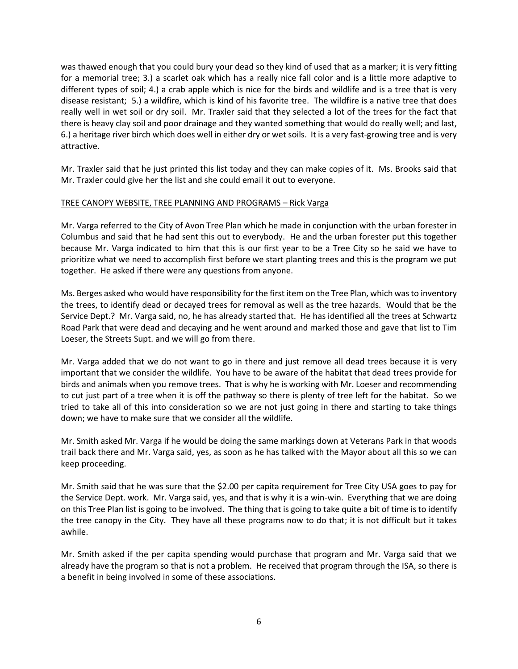was thawed enough that you could bury your dead so they kind of used that as a marker; it is very fitting for a memorial tree; 3.) a scarlet oak which has a really nice fall color and is a little more adaptive to different types of soil; 4.) a crab apple which is nice for the birds and wildlife and is a tree that is very disease resistant; 5.) a wildfire, which is kind of his favorite tree. The wildfire is a native tree that does really well in wet soil or dry soil. Mr. Traxler said that they selected a lot of the trees for the fact that there is heavy clay soil and poor drainage and they wanted something that would do really well; and last, 6.) a heritage river birch which does well in either dry or wet soils. It is a very fast-growing tree and is very attractive.

Mr. Traxler said that he just printed this list today and they can make copies of it. Ms. Brooks said that Mr. Traxler could give her the list and she could email it out to everyone.

### TREE CANOPY WEBSITE, TREE PLANNING AND PROGRAMS – Rick Varga

Mr. Varga referred to the City of Avon Tree Plan which he made in conjunction with the urban forester in Columbus and said that he had sent this out to everybody. He and the urban forester put this together because Mr. Varga indicated to him that this is our first year to be a Tree City so he said we have to prioritize what we need to accomplish first before we start planting trees and this is the program we put together. He asked if there were any questions from anyone.

Ms. Berges asked who would have responsibility for the first item on the Tree Plan, which was to inventory the trees, to identify dead or decayed trees for removal as well as the tree hazards. Would that be the Service Dept.? Mr. Varga said, no, he has already started that. He has identified all the trees at Schwartz Road Park that were dead and decaying and he went around and marked those and gave that list to Tim Loeser, the Streets Supt. and we will go from there.

Mr. Varga added that we do not want to go in there and just remove all dead trees because it is very important that we consider the wildlife. You have to be aware of the habitat that dead trees provide for birds and animals when you remove trees. That is why he is working with Mr. Loeser and recommending to cut just part of a tree when it is off the pathway so there is plenty of tree left for the habitat. So we tried to take all of this into consideration so we are not just going in there and starting to take things down; we have to make sure that we consider all the wildlife.

Mr. Smith asked Mr. Varga if he would be doing the same markings down at Veterans Park in that woods trail back there and Mr. Varga said, yes, as soon as he has talked with the Mayor about all this so we can keep proceeding.

Mr. Smith said that he was sure that the \$2.00 per capita requirement for Tree City USA goes to pay for the Service Dept. work. Mr. Varga said, yes, and that is why it is a win-win. Everything that we are doing on this Tree Plan list is going to be involved. The thing that is going to take quite a bit of time is to identify the tree canopy in the City. They have all these programs now to do that; it is not difficult but it takes awhile.

Mr. Smith asked if the per capita spending would purchase that program and Mr. Varga said that we already have the program so that is not a problem. He received that program through the ISA, so there is a benefit in being involved in some of these associations.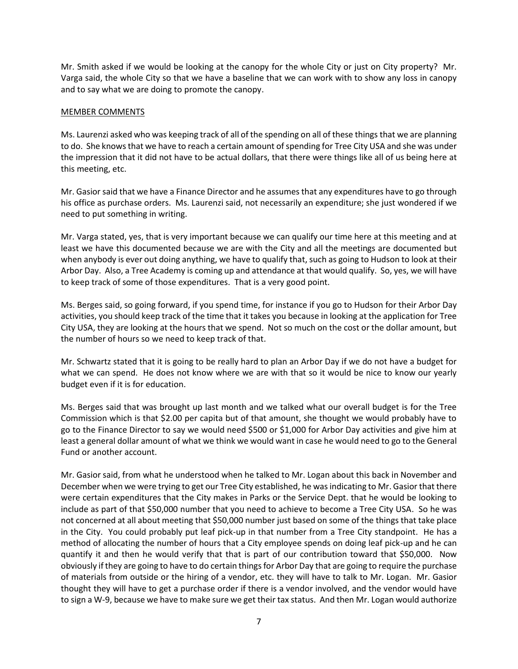Mr. Smith asked if we would be looking at the canopy for the whole City or just on City property? Mr. Varga said, the whole City so that we have a baseline that we can work with to show any loss in canopy and to say what we are doing to promote the canopy.

## MEMBER COMMENTS

Ms. Laurenzi asked who was keeping track of all of the spending on all of these things that we are planning to do. She knowsthat we have to reach a certain amount of spending for Tree City USA and she was under the impression that it did not have to be actual dollars, that there were things like all of us being here at this meeting, etc.

Mr. Gasior said that we have a Finance Director and he assumes that any expenditures have to go through his office as purchase orders. Ms. Laurenzi said, not necessarily an expenditure; she just wondered if we need to put something in writing.

Mr. Varga stated, yes, that is very important because we can qualify our time here at this meeting and at least we have this documented because we are with the City and all the meetings are documented but when anybody is ever out doing anything, we have to qualify that, such as going to Hudson to look at their Arbor Day. Also, a Tree Academy is coming up and attendance at that would qualify. So, yes, we will have to keep track of some of those expenditures. That is a very good point.

Ms. Berges said, so going forward, if you spend time, for instance if you go to Hudson for their Arbor Day activities, you should keep track of the time that it takes you because in looking at the application for Tree City USA, they are looking at the hours that we spend. Not so much on the cost or the dollar amount, but the number of hours so we need to keep track of that.

Mr. Schwartz stated that it is going to be really hard to plan an Arbor Day if we do not have a budget for what we can spend. He does not know where we are with that so it would be nice to know our yearly budget even if it is for education.

Ms. Berges said that was brought up last month and we talked what our overall budget is for the Tree Commission which is that \$2.00 per capita but of that amount, she thought we would probably have to go to the Finance Director to say we would need \$500 or \$1,000 for Arbor Day activities and give him at least a general dollar amount of what we think we would want in case he would need to go to the General Fund or another account.

Mr. Gasior said, from what he understood when he talked to Mr. Logan about this back in November and December when we were trying to get our Tree City established, he was indicating to Mr. Gasior that there were certain expenditures that the City makes in Parks or the Service Dept. that he would be looking to include as part of that \$50,000 number that you need to achieve to become a Tree City USA. So he was not concerned at all about meeting that \$50,000 number just based on some of the things that take place in the City. You could probably put leaf pick-up in that number from a Tree City standpoint. He has a method of allocating the number of hours that a City employee spends on doing leaf pick-up and he can quantify it and then he would verify that that is part of our contribution toward that \$50,000. Now obviously if they are going to have to do certain things for Arbor Day that are going to require the purchase of materials from outside or the hiring of a vendor, etc. they will have to talk to Mr. Logan. Mr. Gasior thought they will have to get a purchase order if there is a vendor involved, and the vendor would have to sign a W-9, because we have to make sure we get their tax status. And then Mr. Logan would authorize